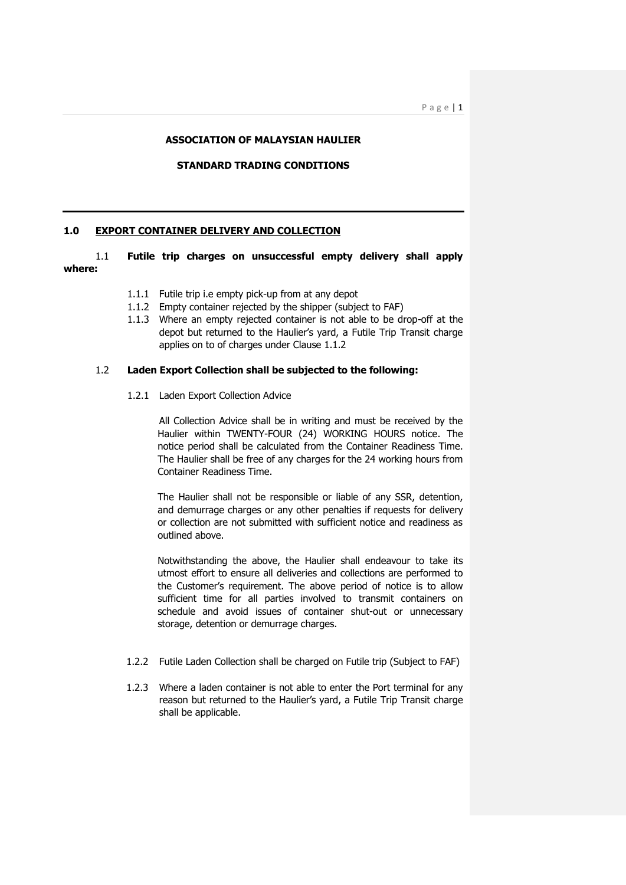#### **ASSOCIATION OF MALAYSIAN HAULIER**

#### **STANDARD TRADING CONDITIONS**

#### **1.0 EXPORT CONTAINER DELIVERY AND COLLECTION**

1.1 **Futile trip charges on unsuccessful empty delivery shall apply where:**

- 1.1.1 Futile trip i.e empty pick-up from at any depot
- 1.1.2 Empty container rejected by the shipper (subject to FAF)
- 1.1.3 Where an empty rejected container is not able to be drop-off at the depot but returned to the Haulier's yard, a Futile Trip Transit charge applies on to of charges under Clause 1.1.2

#### 1.2 **Laden Export Collection shall be subjected to the following:**

1.2.1 Laden Export Collection Advice

All Collection Advice shall be in writing and must be received by the Haulier within TWENTY-FOUR (24) WORKING HOURS notice. The notice period shall be calculated from the Container Readiness Time. The Haulier shall be free of any charges for the 24 working hours from Container Readiness Time.

The Haulier shall not be responsible or liable of any SSR, detention, and demurrage charges or any other penalties if requests for delivery or collection are not submitted with sufficient notice and readiness as outlined above.

Notwithstanding the above, the Haulier shall endeavour to take its utmost effort to ensure all deliveries and collections are performed to the Customer's requirement. The above period of notice is to allow sufficient time for all parties involved to transmit containers on schedule and avoid issues of container shut-out or unnecessary storage, detention or demurrage charges.

- 1.2.2 Futile Laden Collection shall be charged on Futile trip (Subject to FAF)
- 1.2.3 Where a laden container is not able to enter the Port terminal for any reason but returned to the Haulier's yard, a Futile Trip Transit charge shall be applicable.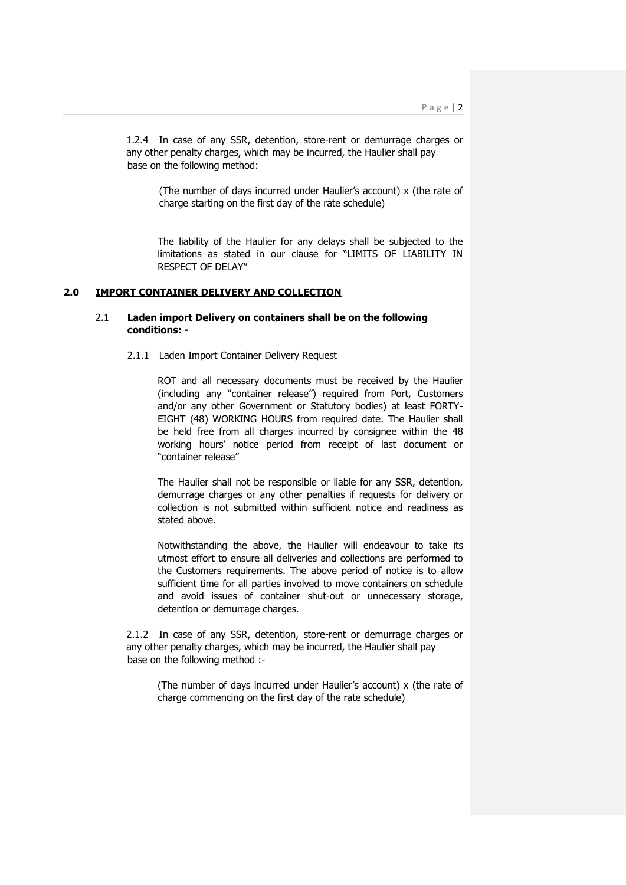1.2.4 In case of any SSR, detention, store-rent or demurrage charges or any other penalty charges, which may be incurred, the Haulier shall pay base on the following method:

(The number of days incurred under Haulier's account) x (the rate of charge starting on the first day of the rate schedule)

The liability of the Haulier for any delays shall be subjected to the limitations as stated in our clause for "LIMITS OF LIABILITY IN RESPECT OF DELAY"

## **2.0 IMPORT CONTAINER DELIVERY AND COLLECTION**

# 2.1 **Laden import Delivery on containers shall be on the following conditions: -**

## 2.1.1 Laden Import Container Delivery Request

ROT and all necessary documents must be received by the Haulier (including any "container release") required from Port, Customers and/or any other Government or Statutory bodies) at least FORTY-EIGHT (48) WORKING HOURS from required date. The Haulier shall be held free from all charges incurred by consignee within the 48 working hours' notice period from receipt of last document or "container release"

The Haulier shall not be responsible or liable for any SSR, detention, demurrage charges or any other penalties if requests for delivery or collection is not submitted within sufficient notice and readiness as stated above.

Notwithstanding the above, the Haulier will endeavour to take its utmost effort to ensure all deliveries and collections are performed to the Customers requirements. The above period of notice is to allow sufficient time for all parties involved to move containers on schedule and avoid issues of container shut-out or unnecessary storage, detention or demurrage charges.

2.1.2 In case of any SSR, detention, store-rent or demurrage charges or any other penalty charges, which may be incurred, the Haulier shall pay base on the following method :-

(The number of days incurred under Haulier's account) x (the rate of charge commencing on the first day of the rate schedule)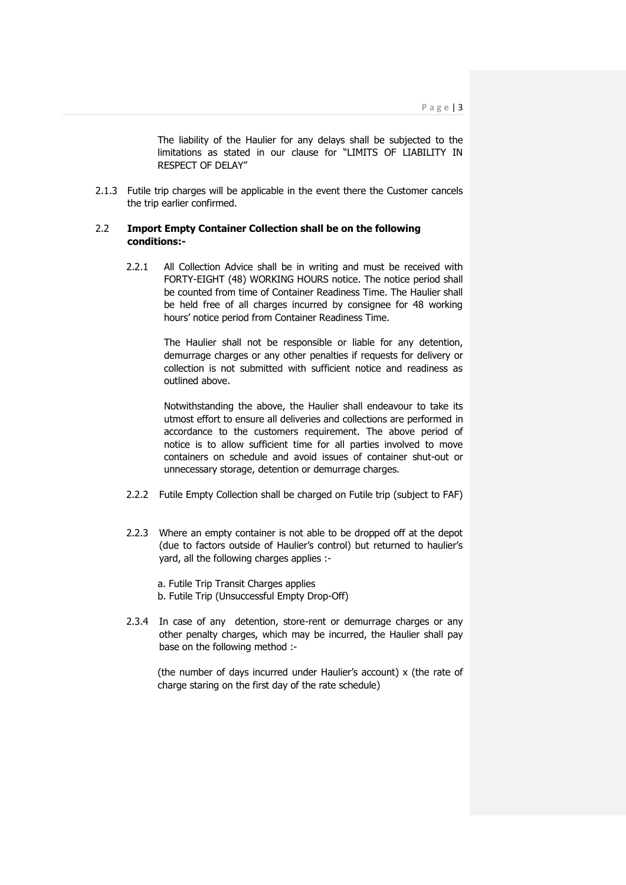The liability of the Haulier for any delays shall be subjected to the limitations as stated in our clause for "LIMITS OF LIABILITY IN RESPECT OF DELAY"

2.1.3 Futile trip charges will be applicable in the event there the Customer cancels the trip earlier confirmed.

# 2.2 **Import Empty Container Collection shall be on the following conditions:-**

2.2.1 All Collection Advice shall be in writing and must be received with FORTY-EIGHT (48) WORKING HOURS notice. The notice period shall be counted from time of Container Readiness Time. The Haulier shall be held free of all charges incurred by consignee for 48 working hours' notice period from Container Readiness Time.

> The Haulier shall not be responsible or liable for any detention, demurrage charges or any other penalties if requests for delivery or collection is not submitted with sufficient notice and readiness as outlined above.

> Notwithstanding the above, the Haulier shall endeavour to take its utmost effort to ensure all deliveries and collections are performed in accordance to the customers requirement. The above period of notice is to allow sufficient time for all parties involved to move containers on schedule and avoid issues of container shut-out or unnecessary storage, detention or demurrage charges.

- 2.2.2 Futile Empty Collection shall be charged on Futile trip (subject to FAF)
- 2.2.3 Where an empty container is not able to be dropped off at the depot (due to factors outside of Haulier's control) but returned to haulier's yard, all the following charges applies :-

a. Futile Trip Transit Charges applies b. Futile Trip (Unsuccessful Empty Drop-Off)

2.3.4 In case of any detention, store-rent or demurrage charges or any other penalty charges, which may be incurred, the Haulier shall pay base on the following method :-

(the number of days incurred under Haulier's account) x (the rate of charge staring on the first day of the rate schedule)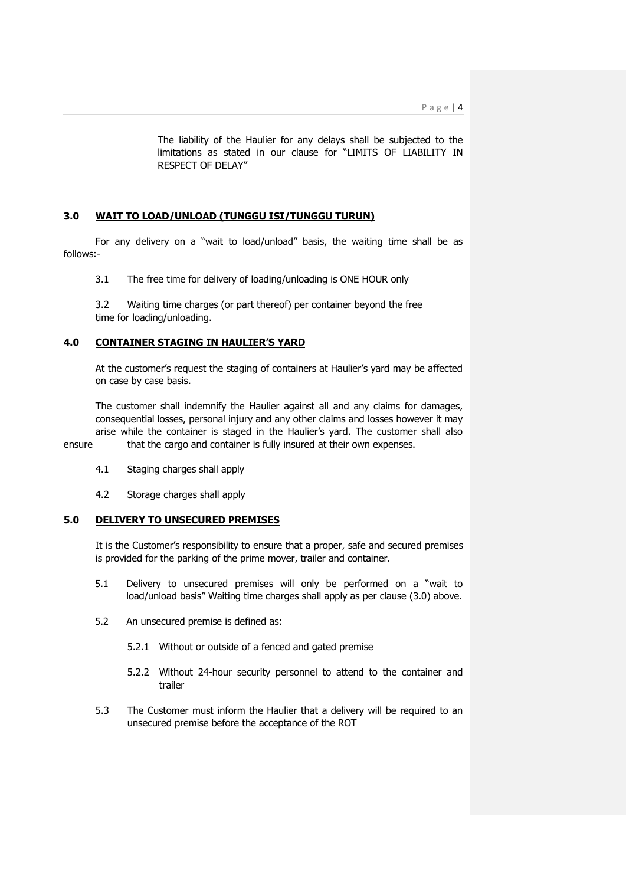The liability of the Haulier for any delays shall be subjected to the limitations as stated in our clause for "LIMITS OF LIABILITY IN RESPECT OF DELAY"

# **3.0 WAIT TO LOAD/UNLOAD (TUNGGU ISI/TUNGGU TURUN)**

For any delivery on a "wait to load/unload" basis, the waiting time shall be as follows:-

3.1 The free time for delivery of loading/unloading is ONE HOUR only

3.2 Waiting time charges (or part thereof) per container beyond the free time for loading/unloading.

## **4.0 CONTAINER STAGING IN HAULIER'S YARD**

At the customer's request the staging of containers at Haulier's yard may be affected on case by case basis.

The customer shall indemnify the Haulier against all and any claims for damages, consequential losses, personal injury and any other claims and losses however it may arise while the container is staged in the Haulier's yard. The customer shall also ensure that the cargo and container is fully insured at their own expenses.

- 4.1 Staging charges shall apply
- 4.2 Storage charges shall apply

## **5.0 DELIVERY TO UNSECURED PREMISES**

It is the Customer's responsibility to ensure that a proper, safe and secured premises is provided for the parking of the prime mover, trailer and container.

- 5.1 Delivery to unsecured premises will only be performed on a "wait to load/unload basis" Waiting time charges shall apply as per clause (3.0) above.
- 5.2 An unsecured premise is defined as:
	- 5.2.1 Without or outside of a fenced and gated premise
	- 5.2.2 Without 24-hour security personnel to attend to the container and trailer
- 5.3 The Customer must inform the Haulier that a delivery will be required to an unsecured premise before the acceptance of the ROT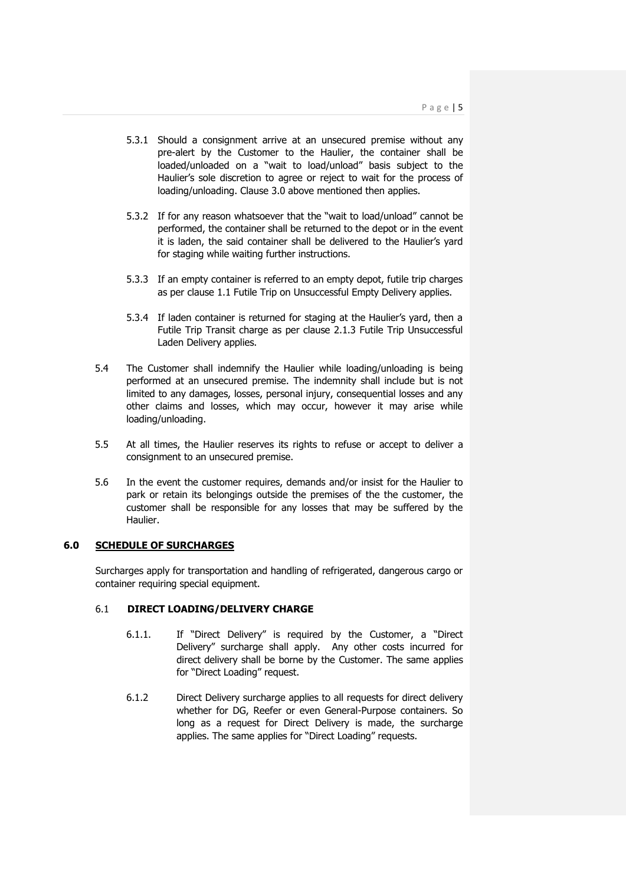- 5.3.1 Should a consignment arrive at an unsecured premise without any pre-alert by the Customer to the Haulier, the container shall be loaded/unloaded on a "wait to load/unload" basis subject to the Haulier's sole discretion to agree or reject to wait for the process of loading/unloading. Clause 3.0 above mentioned then applies.
- 5.3.2 If for any reason whatsoever that the "wait to load/unload" cannot be performed, the container shall be returned to the depot or in the event it is laden, the said container shall be delivered to the Haulier's yard for staging while waiting further instructions.
- 5.3.3 If an empty container is referred to an empty depot, futile trip charges as per clause 1.1 Futile Trip on Unsuccessful Empty Delivery applies.
- 5.3.4 If laden container is returned for staging at the Haulier's yard, then a Futile Trip Transit charge as per clause 2.1.3 Futile Trip Unsuccessful Laden Delivery applies.
- 5.4 The Customer shall indemnify the Haulier while loading/unloading is being performed at an unsecured premise. The indemnity shall include but is not limited to any damages, losses, personal injury, consequential losses and any other claims and losses, which may occur, however it may arise while loading/unloading.
- 5.5 At all times, the Haulier reserves its rights to refuse or accept to deliver a consignment to an unsecured premise.
- 5.6 In the event the customer requires, demands and/or insist for the Haulier to park or retain its belongings outside the premises of the the customer, the customer shall be responsible for any losses that may be suffered by the Haulier.

# **6.0 SCHEDULE OF SURCHARGES**

Surcharges apply for transportation and handling of refrigerated, dangerous cargo or container requiring special equipment.

# 6.1 **DIRECT LOADING/DELIVERY CHARGE**

- 6.1.1. If "Direct Delivery" is required by the Customer, a "Direct Delivery" surcharge shall apply. Any other costs incurred for direct delivery shall be borne by the Customer. The same applies for "Direct Loading" request.
- 6.1.2 Direct Delivery surcharge applies to all requests for direct delivery whether for DG, Reefer or even General-Purpose containers. So long as a request for Direct Delivery is made, the surcharge applies. The same applies for "Direct Loading" requests.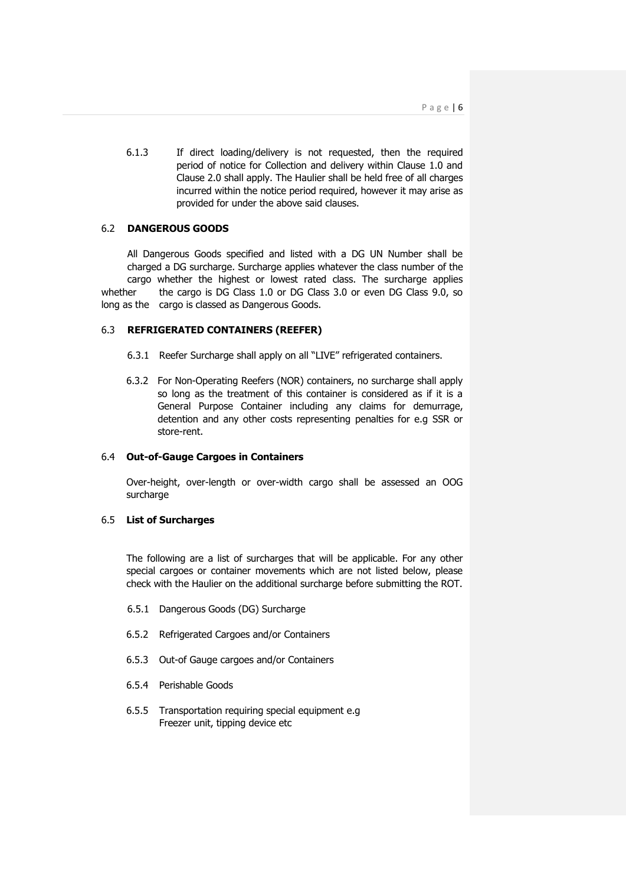6.1.3 If direct loading/delivery is not requested, then the required period of notice for Collection and delivery within Clause 1.0 and Clause 2.0 shall apply. The Haulier shall be held free of all charges incurred within the notice period required, however it may arise as provided for under the above said clauses.

# 6.2 **DANGEROUS GOODS**

All Dangerous Goods specified and listed with a DG UN Number shall be charged a DG surcharge. Surcharge applies whatever the class number of the cargo whether the highest or lowest rated class. The surcharge applies whether the cargo is DG Class 1.0 or DG Class 3.0 or even DG Class 9.0, so long as the cargo is classed as Dangerous Goods.

### 6.3 **REFRIGERATED CONTAINERS (REEFER)**

- 6.3.1 Reefer Surcharge shall apply on all "LIVE" refrigerated containers.
- 6.3.2 For Non-Operating Reefers (NOR) containers, no surcharge shall apply so long as the treatment of this container is considered as if it is a General Purpose Container including any claims for demurrage, detention and any other costs representing penalties for e.g SSR or store-rent.

#### 6.4 **Out-of-Gauge Cargoes in Containers**

Over-height, over-length or over-width cargo shall be assessed an OOG surcharge

## 6.5 **List of Surcharges**

The following are a list of surcharges that will be applicable. For any other special cargoes or container movements which are not listed below, please check with the Haulier on the additional surcharge before submitting the ROT.

- 6.5.1 Dangerous Goods (DG) Surcharge
- 6.5.2 Refrigerated Cargoes and/or Containers
- 6.5.3 Out-of Gauge cargoes and/or Containers
- 6.5.4 Perishable Goods
- 6.5.5 Transportation requiring special equipment e.g Freezer unit, tipping device etc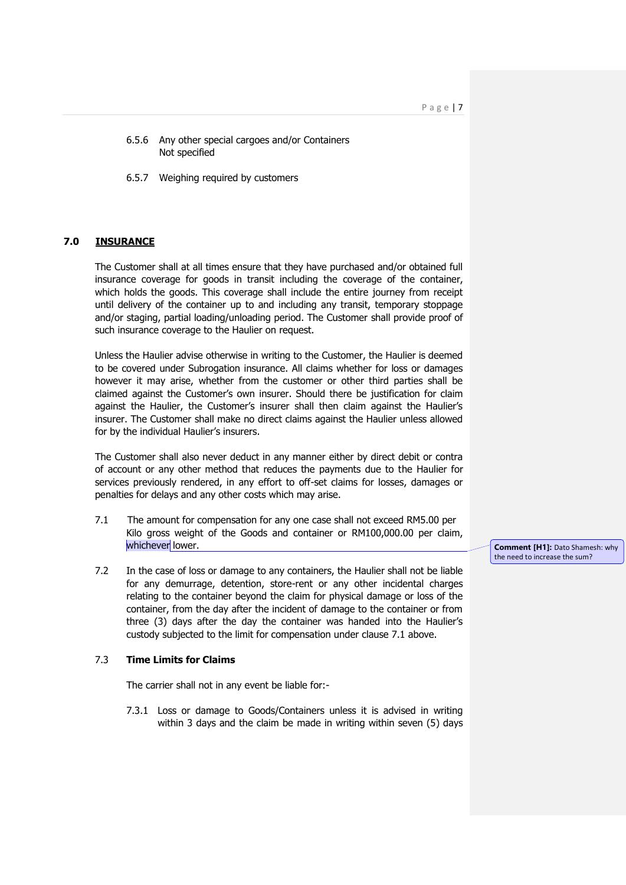P a g e | 7

- 6.5.6 Any other special cargoes and/or Containers Not specified
- 6.5.7 Weighing required by customers

# **7.0 INSURANCE**

The Customer shall at all times ensure that they have purchased and/or obtained full insurance coverage for goods in transit including the coverage of the container, which holds the goods. This coverage shall include the entire journey from receipt until delivery of the container up to and including any transit, temporary stoppage and/or staging, partial loading/unloading period. The Customer shall provide proof of such insurance coverage to the Haulier on request.

Unless the Haulier advise otherwise in writing to the Customer, the Haulier is deemed to be covered under Subrogation insurance. All claims whether for loss or damages however it may arise, whether from the customer or other third parties shall be claimed against the Customer's own insurer. Should there be justification for claim against the Haulier, the Customer's insurer shall then claim against the Haulier's insurer. The Customer shall make no direct claims against the Haulier unless allowed for by the individual Haulier's insurers.

The Customer shall also never deduct in any manner either by direct debit or contra of account or any other method that reduces the payments due to the Haulier for services previously rendered, in any effort to off-set claims for losses, damages or penalties for delays and any other costs which may arise.

- 7.1 The amount for compensation for any one case shall not exceed RM5.00 per Kilo gross weight of the Goods and container or RM100,000.00 per claim, whichever lower.
- 7.2 In the case of loss or damage to any containers, the Haulier shall not be liable for any demurrage, detention, store-rent or any other incidental charges relating to the container beyond the claim for physical damage or loss of the container, from the day after the incident of damage to the container or from three (3) days after the day the container was handed into the Haulier's custody subjected to the limit for compensation under clause 7.1 above.

## 7.3 **Time Limits for Claims**

The carrier shall not in any event be liable for:-

7.3.1 Loss or damage to Goods/Containers unless it is advised in writing within 3 days and the claim be made in writing within seven (5) days

**Comment [H1]:** Dato Shamesh: why the need to increase the sum?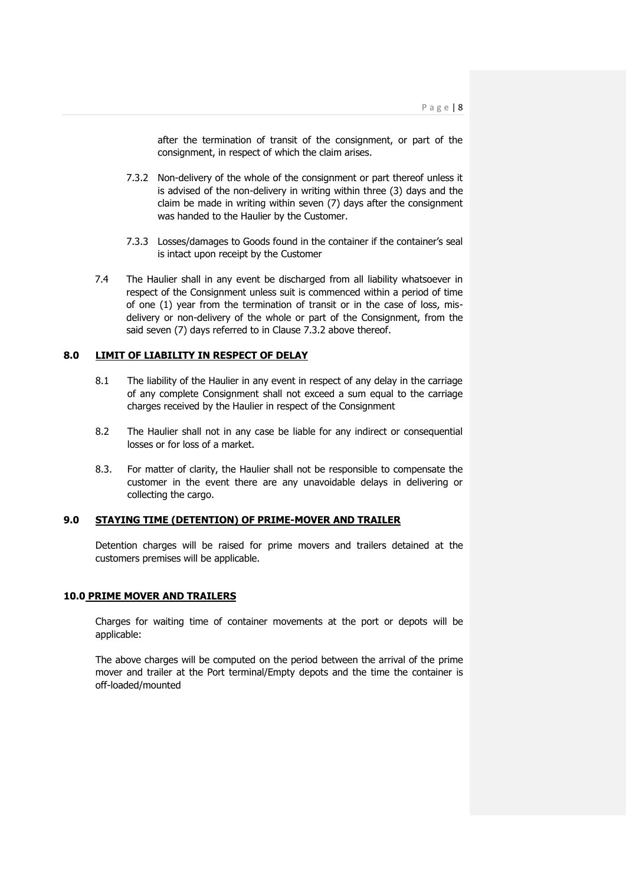after the termination of transit of the consignment, or part of the consignment, in respect of which the claim arises.

- 7.3.2 Non-delivery of the whole of the consignment or part thereof unless it is advised of the non-delivery in writing within three (3) days and the claim be made in writing within seven (7) days after the consignment was handed to the Haulier by the Customer.
- 7.3.3 Losses/damages to Goods found in the container if the container's seal is intact upon receipt by the Customer
- 7.4 The Haulier shall in any event be discharged from all liability whatsoever in respect of the Consignment unless suit is commenced within a period of time of one (1) year from the termination of transit or in the case of loss, misdelivery or non-delivery of the whole or part of the Consignment, from the said seven (7) days referred to in Clause 7.3.2 above thereof.

# **8.0 LIMIT OF LIABILITY IN RESPECT OF DELAY**

- 8.1 The liability of the Haulier in any event in respect of any delay in the carriage of any complete Consignment shall not exceed a sum equal to the carriage charges received by the Haulier in respect of the Consignment
- 8.2 The Haulier shall not in any case be liable for any indirect or consequential losses or for loss of a market.
- 8.3. For matter of clarity, the Haulier shall not be responsible to compensate the customer in the event there are any unavoidable delays in delivering or collecting the cargo.

## **9.0 STAYING TIME (DETENTION) OF PRIME-MOVER AND TRAILER**

Detention charges will be raised for prime movers and trailers detained at the customers premises will be applicable.

#### **10.0 PRIME MOVER AND TRAILERS**

Charges for waiting time of container movements at the port or depots will be applicable:

The above charges will be computed on the period between the arrival of the prime mover and trailer at the Port terminal/Empty depots and the time the container is off-loaded/mounted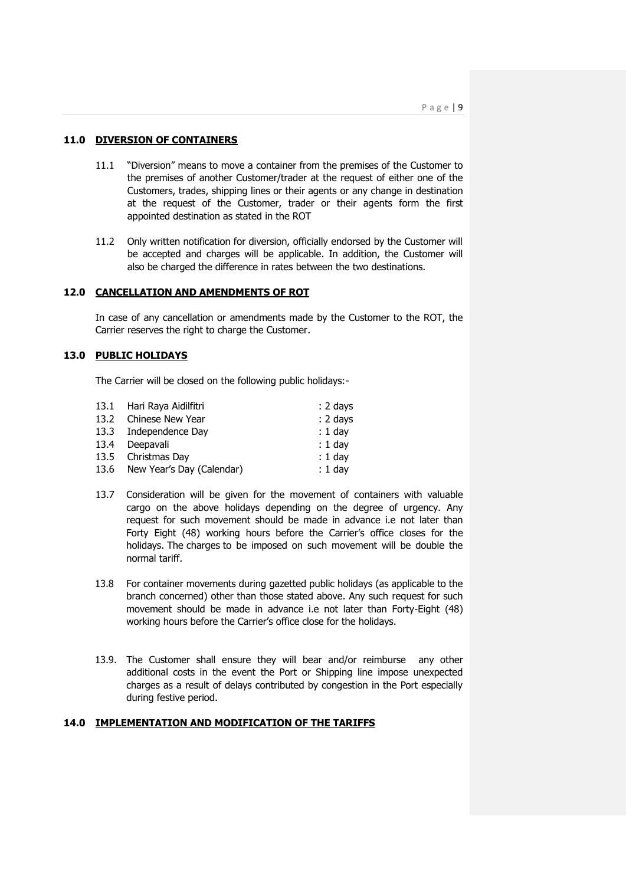## **11.0 DIVERSION OF CONTAINERS**

- 11.1 "Diversion" means to move a container from the premises of the Customer to the premises of another Customer/trader at the request of either one of the Customers, trades, shipping lines or their agents or any change in destination at the request of the Customer, trader or their agents form the first appointed destination as stated in the ROT
- 11.2 Only written notification for diversion, officially endorsed by the Customer will be accepted and charges will be applicable. In addition, the Customer will also be charged the difference in rates between the two destinations.

### **12.0 CANCELLATION AND AMENDMENTS OF ROT**

In case of any cancellation or amendments made by the Customer to the ROT, the Carrier reserves the right to charge the Customer.

# **13.0 PUBLIC HOLIDAYS**

The Carrier will be closed on the following public holidays:-

| 13.1 Hari Raya Aidilfitri      | $: 2$ days |
|--------------------------------|------------|
| 13.2 Chinese New Year          | $: 2$ days |
| 13.3 Independence Day          | $: 1$ day  |
| Deepavali                      | $: 1$ day  |
| 13.5 Christmas Day             | $: 1$ day  |
| 13.6 New Year's Day (Calendar) | $: 1$ day  |
|                                |            |

- 13.7 Consideration will be given for the movement of containers with valuable cargo on the above holidays depending on the degree of urgency. Any request for such movement should be made in advance i.e not later than Forty Eight (48) working hours before the Carrier's office closes for the holidays. The charges to be imposed on such movement will be double the normal tariff.
- 13.8 For container movements during gazetted public holidays (as applicable to the branch concerned) other than those stated above. Any such request for such movement should be made in advance i.e not later than Forty-Eight (48) working hours before the Carrier's office close for the holidays.
- 13.9. The Customer shall ensure they will bear and/or reimburse any other additional costs in the event the Port or Shipping line impose unexpected charges as a result of delays contributed by congestion in the Port especially during festive period.

## **14.0 IMPLEMENTATION AND MODIFICATION OF THE TARIFFS**